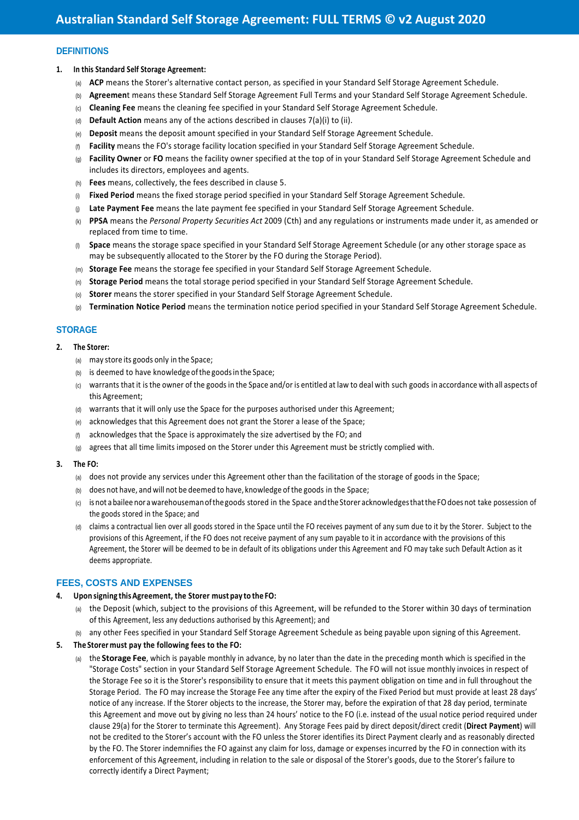# **DEFINITIONS**

#### **1. In this Standard Self Storage Agreement:**

- (a) **ACP** means the Storer's alternative contact person, as specified in your Standard Self Storage Agreement Schedule.
- (b) **Agreemen**t means these Standard Self Storage Agreement Full Terms and your Standard Self Storage Agreement Schedule.
- (c) **Cleaning Fee** means the cleaning fee specified in your Standard Self Storage Agreement Schedule.
- (d) **Default Action** means any of the actions described in clauses 7(a)(i) to (ii).
- (e) **Deposit** means the deposit amount specified in your Standard Self Storage Agreement Schedule.
- (f) **Facility** means the FO's storage facility location specified in your Standard Self Storage Agreement Schedule.
- (g) **Facility Owner** or **FO** means the facility owner specified at the top of in your Standard Self Storage Agreement Schedule and includes its directors, employees and agents.
- (h) **Fees** means, collectively, the fees described in clause 5.
- (i) **Fixed Period** means the fixed storage period specified in your Standard Self Storage Agreement Schedule.
- (j) **Late Payment Fee** means the late payment fee specified in your Standard Self Storage Agreement Schedule.
- (k) **PPSA** means the *Personal Property Securities Act* 2009 (Cth) and any regulations or instruments made under it, as amended or replaced from time to time.
- (l) **Space** means the storage space specified in your Standard Self Storage Agreement Schedule (or any other storage space as may be subsequently allocated to the Storer by the FO during the Storage Period).
- (m) **Storage Fee** means the storage fee specified in your Standard Self Storage Agreement Schedule.
- (n) **Storage Period** means the total storage period specified in your Standard Self Storage Agreement Schedule.
- (o) **Storer** means the storer specified in your Standard Self Storage Agreement Schedule.
- (p) **Termination Notice Period** means the termination notice period specified in your Standard Self Storage Agreement Schedule.

### **STORAGE**

- **2. The Storer:** 
	- (a) may store its goods only in the Space;
	- (b) is deemed to have knowledge of the goods in the Space;
	- (c) warrants that it is the owner of the goods in the Space and/or is entitled at law to deal with such goods in accordance with all aspects of this Agreement;
	- (d) warrants that it will only use the Space for the purposes authorised under this Agreement;
	- (e) acknowledges that this Agreement does not grant the Storer a lease of the Space;
	- (f) acknowledges that the Space is approximately the size advertised by the FO; and
	- (g) agrees that all time limits imposed on the Storer under this Agreement must be strictly complied with.

#### **3. The FO:**

- (a) does not provide any services under this Agreement other than the facilitation of the storage of goods in the Space;
- (b) does not have, and will not be deemed to have, knowledge of the goods in the Space;
- (c) is not a bailee nor a warehouseman of the goods stored in the Space and the Storer acknowledges that the FO does not take possession of the goods stored in the Space; and
- (d) claims a contractual lien over all goods stored in the Space until the FO receives payment of any sum due to it by the Storer. Subject to the provisions of this Agreement, if the FO does not receive payment of any sum payable to it in accordance with the provisions of this Agreement, the Storer will be deemed to be in default of its obligations under this Agreement and FO may take such Default Action as it deems appropriate.

### **FEES, COSTS AND EXPENSES**

- **4. Upon signing this Agreement, the Storer must pay to the FO:**
	- (a) the Deposit (which, subject to the provisions of this Agreement, will be refunded to the Storer within 30 days of termination of this Agreement, less any deductions authorised by this Agreement); and
	- (b) any other Fees specified in your Standard Self Storage Agreement Schedule as being payable upon signing of this Agreement.
- **5. The Storer must pay the following fees to the FO:** 
	- (a) the **Storage Fee**, which is payable monthly in advance, by no later than the date in the preceding month which is specified in the "Storage Costs" section in your Standard Self Storage Agreement Schedule. The FO will not issue monthly invoices in respect of the Storage Fee so it is the Storer's responsibility to ensure that it meets this payment obligation on time and in full throughout the Storage Period. The FO may increase the Storage Fee any time after the expiry of the Fixed Period but must provide at least 28 days' notice of any increase. If the Storer objects to the increase, the Storer may, before the expiration of that 28 day period, terminate this Agreement and move out by giving no less than 24 hours' notice to the FO (i.e. instead of the usual notice period required under clause 29(a) for the Storer to terminate this Agreement). Any Storage Fees paid by direct deposit/direct credit (**Direct Payment**) will not be credited to the Storer's account with the FO unless the Storer identifies its Direct Payment clearly and as reasonably directed by the FO. The Storer indemnifies the FO against any claim for loss, damage or expenses incurred by the FO in connection with its enforcement of this Agreement, including in relation to the sale or disposal of the Storer's goods, due to the Storer's failure to correctly identify a Direct Payment;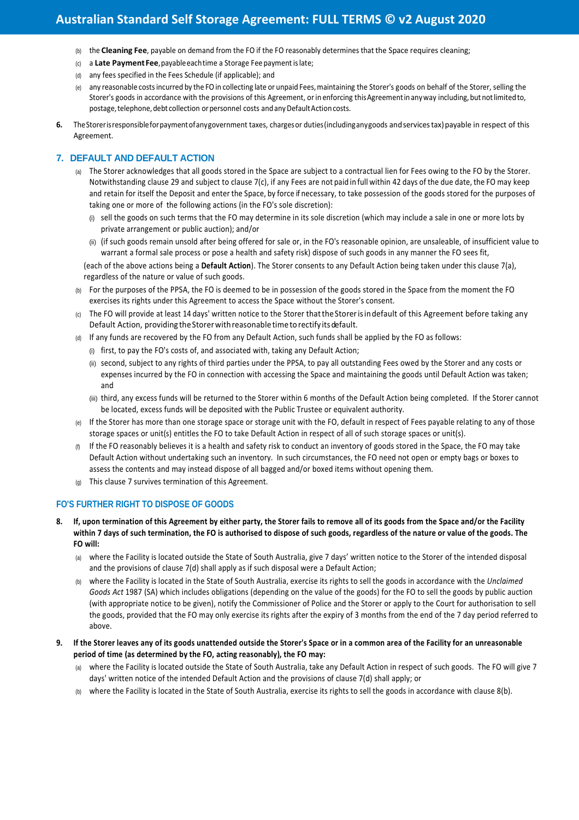# **Australian Standard Self Storage Agreement: FULL TERMS © v2 August 2020**

- (b) the **Cleaning Fee**, payable on demand from the FO if the FO reasonably determines that the Space requires cleaning;
- (c) a **Late Payment Fee**, payable each time a Storage Fee payment is late;
- (d) any fees specified in the Fees Schedule (if applicable); and
- (e) any reasonable costs incurred by the FO in collecting late or unpaid Fees, maintaining the Storer's goods on behalf of the Storer, selling the Storer's goods in accordance with the provisions of this Agreement, or in enforcing this Agreement in any way including, but not limited to, postage, telephone, debt collection or personnel costs and any Default Action costs.
- **6.** The Storer is responsible for payment of any government taxes, charges or duties (including any goods and services tax) payable in respect of this Agreement.

# **7. DEFAULT AND DEFAULT ACTION**

- (a) The Storer acknowledges that all goods stored in the Space are subject to a contractual lien for Fees owing to the FO by the Storer. Notwithstanding clause 29 and subject to clause 7(c), if any Fees are not paid in full within 42 days of the due date, the FO may keep and retain for itself the Deposit and enter the Space, by force if necessary, to take possession of the goods stored for the purposes of taking one or more of the following actions (in the FO's sole discretion):
	- (i) sell the goods on such terms that the FO may determine in its sole discretion (which may include a sale in one or more lots by private arrangement or public auction); and/or
	- (ii) (if such goods remain unsold after being offered for sale or, in the FO's reasonable opinion, are unsaleable, of insufficient value to warrant a formal sale process or pose a health and safety risk) dispose of such goods in any manner the FO sees fit,

(each of the above actions being a **Default Action**). The Storer consents to any Default Action being taken under this clause 7(a), regardless of the nature or value of such goods.

- (b) For the purposes of the PPSA, the FO is deemed to be in possession of the goods stored in the Space from the moment the FO exercises its rights under this Agreement to access the Space without the Storer's consent.
- (c) The FO will provide at least 14 days' written notice to the Storer that the Storer is in default of this Agreement before taking any Default Action, providing the Storer with reasonable time to rectify its default.
- (d) If any funds are recovered by the FO from any Default Action, such funds shall be applied by the FO as follows:
	- (i) first, to pay the FO's costs of, and associated with, taking any Default Action;
	- (ii) second, subject to any rights of third parties under the PPSA, to pay all outstanding Fees owed by the Storer and any costs or expenses incurred by the FO in connection with accessing the Space and maintaining the goods until Default Action was taken; and
	- (iii) third, any excess funds will be returned to the Storer within 6 months of the Default Action being completed. If the Storer cannot be located, excess funds will be deposited with the Public Trustee or equivalent authority.
- (e) If the Storer has more than one storage space or storage unit with the FO, default in respect of Fees payable relating to any of those storage spaces or unit(s) entitles the FO to take Default Action in respect of all of such storage spaces or unit(s).
- (f) If the FO reasonably believes it is a health and safety risk to conduct an inventory of goods stored in the Space, the FO may take Default Action without undertaking such an inventory. In such circumstances, the FO need not open or empty bags or boxes to assess the contents and may instead dispose of all bagged and/or boxed items without opening them.
- (g) This clause 7 survives termination of this Agreement.

# **FO'S FURTHER RIGHT TO DISPOSE OF GOODS**

- **8. If, upon termination of this Agreement by either party, the Storer fails to remove all of its goods from the Space and/or the Facility within 7 days of such termination, the FO is authorised to dispose of such goods, regardless of the nature or value of the goods. The FO will:** 
	- (a) where the Facility is located outside the State of South Australia, give 7 days' written notice to the Storer of the intended disposal and the provisions of clause 7(d) shall apply as if such disposal were a Default Action;
	- (b) where the Facility is located in the State of South Australia, exercise its rights to sell the goods in accordance with the *Unclaimed Goods Act* 1987 (SA) which includes obligations (depending on the value of the goods) for the FO to sell the goods by public auction (with appropriate notice to be given), notify the Commissioner of Police and the Storer or apply to the Court for authorisation to sell the goods, provided that the FO may only exercise its rights after the expiry of 3 months from the end of the 7 day period referred to above.
- **9. If the Storer leaves any of its goods unattended outside the Storer's Space or in a common area of the Facility for an unreasonable period of time (as determined by the FO, acting reasonably), the FO may:** 
	- (a) where the Facility is located outside the State of South Australia, take any Default Action in respect of such goods. The FO will give 7 days' written notice of the intended Default Action and the provisions of clause 7(d) shall apply; or
	- (b) where the Facility is located in the State of South Australia, exercise its rights to sell the goods in accordance with clause 8(b).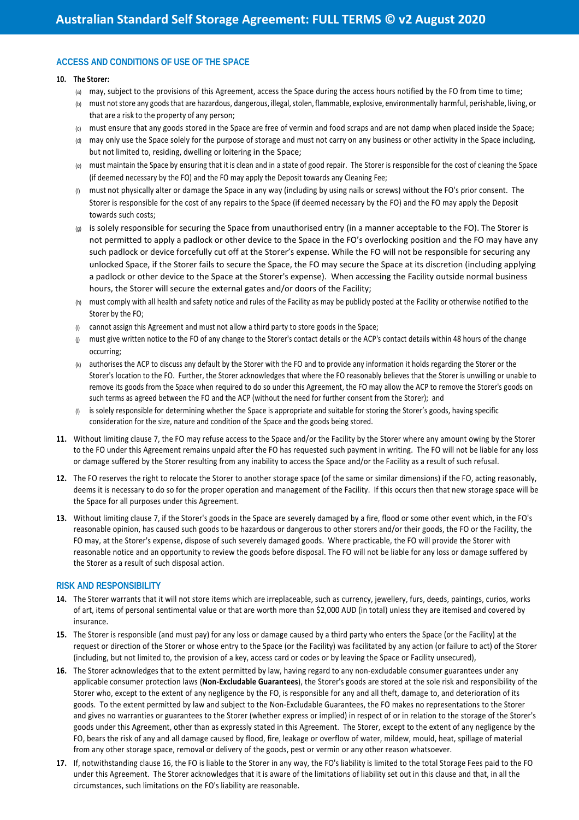# **ACCESS AND CONDITIONS OF USE OF THE SPACE**

#### **10. The Storer:**

- (a) may, subject to the provisions of this Agreement, access the Space during the access hours notified by the FO from time to time;
- (b) must not store any goods that are hazardous, dangerous, illegal, stolen, flammable, explosive, environmentally harmful, perishable, living, or that are a risk to the property of any person;
- (c) must ensure that any goods stored in the Space are free of vermin and food scraps and are not damp when placed inside the Space;
- (d) may only use the Space solely for the purpose of storage and must not carry on any business or other activity in the Space including, but not limited to, residing, dwelling or loitering in the Space;
- (e) must maintain the Space by ensuring that it is clean and in a state of good repair. The Storer is responsible for the cost of cleaning the Space (if deemed necessary by the FO) and the FO may apply the Deposit towards any Cleaning Fee;
- must not physically alter or damage the Space in any way (including by using nails or screws) without the FO's prior consent. The Storer is responsible for the cost of any repairs to the Space (if deemed necessary by the FO) and the FO may apply the Deposit towards such costs;
- (g) is solely responsible for securing the Space from unauthorised entry (in a manner acceptable to the FO). The Storer is not permitted to apply a padlock or other device to the Space in the FO's overlocking position and the FO may have any such padlock or device forcefully cut off at the Storer's expense. While the FO will not be responsible for securing any unlocked Space, if the Storer fails to secure the Space, the FO may secure the Space at its discretion (including applying a padlock or other device to the Space at the Storer's expense). When accessing the Facility outside normal business hours, the Storer will secure the external gates and/or doors of the Facility;
- (h) must comply with all health and safety notice and rules of the Facility as may be publicly posted at the Facility or otherwise notified to the Storer by the FO;
- (i) cannot assign this Agreement and must not allow a third party to store goods in the Space;
- (i) must give written notice to the FO of any change to the Storer's contact details or the ACP's contact details within 48 hours of the change occurring;
- (k) authorises the ACP to discuss any default by the Storer with the FO and to provide any information it holds regarding the Storer or the Storer's location to the FO. Further, the Storer acknowledges that where the FO reasonably believes that the Storer is unwilling or unable to remove its goods from the Space when required to do so under this Agreement, the FO may allow the ACP to remove the Storer's goods on such terms as agreed between the FO and the ACP (without the need for further consent from the Storer); and
- $\omega$  is solely responsible for determining whether the Space is appropriate and suitable for storing the Storer's goods, having specific consideration for the size, nature and condition of the Space and the goods being stored.
- **11.** Without limiting clause 7, the FO may refuse access to the Space and/or the Facility by the Storer where any amount owing by the Storer to the FO under this Agreement remains unpaid after the FO has requested such payment in writing. The FO will not be liable for any loss or damage suffered by the Storer resulting from any inability to access the Space and/or the Facility as a result of such refusal.
- **12.** The FO reserves the right to relocate the Storer to another storage space (of the same or similar dimensions) if the FO, acting reasonably, deems it is necessary to do so for the proper operation and management of the Facility. If this occurs then that new storage space will be the Space for all purposes under this Agreement.
- **13.** Without limiting clause 7, if the Storer's goods in the Space are severely damaged by a fire, flood or some other event which, in the FO's reasonable opinion, has caused such goods to be hazardous or dangerous to other storers and/or their goods, the FO or the Facility, the FO may, at the Storer's expense, dispose of such severely damaged goods. Where practicable, the FO will provide the Storer with reasonable notice and an opportunity to review the goods before disposal. The FO will not be liable for any loss or damage suffered by the Storer as a result of such disposal action.

### **RISK AND RESPONSIBILITY**

- **14.** The Storer warrants that it will not store items which are irreplaceable, such as currency, jewellery, furs, deeds, paintings, curios, works of art, items of personal sentimental value or that are worth more than \$2,000 AUD (in total) unless they are itemised and covered by insurance.
- **15.** The Storer is responsible (and must pay) for any loss or damage caused by a third party who enters the Space (or the Facility) at the request or direction of the Storer or whose entry to the Space (or the Facility) was facilitated by any action (or failure to act) of the Storer (including, but not limited to, the provision of a key, access card or codes or by leaving the Space or Facility unsecured),
- **16.** The Storer acknowledges that to the extent permitted by law, having regard to any non-excludable consumer guarantees under any applicable consumer protection laws (**Non-Excludable Guarantees**), the Storer's goods are stored at the sole risk and responsibility of the Storer who, except to the extent of any negligence by the FO, is responsible for any and all theft, damage to, and deterioration of its goods. To the extent permitted by law and subject to the Non-Excludable Guarantees, the FO makes no representations to the Storer and gives no warranties or guarantees to the Storer (whether express or implied) in respect of or in relation to the storage of the Storer's goods under this Agreement, other than as expressly stated in this Agreement. The Storer, except to the extent of any negligence by the FO, bears the risk of any and all damage caused by flood, fire, leakage or overflow of water, mildew, mould, heat, spillage of material from any other storage space, removal or delivery of the goods, pest or vermin or any other reason whatsoever.
- **17.** If, notwithstanding clause 16, the FO is liable to the Storer in any way, the FO's liability is limited to the total Storage Fees paid to the FO under this Agreement. The Storer acknowledges that it is aware of the limitations of liability set out in this clause and that, in all the circumstances, such limitations on the FO's liability are reasonable.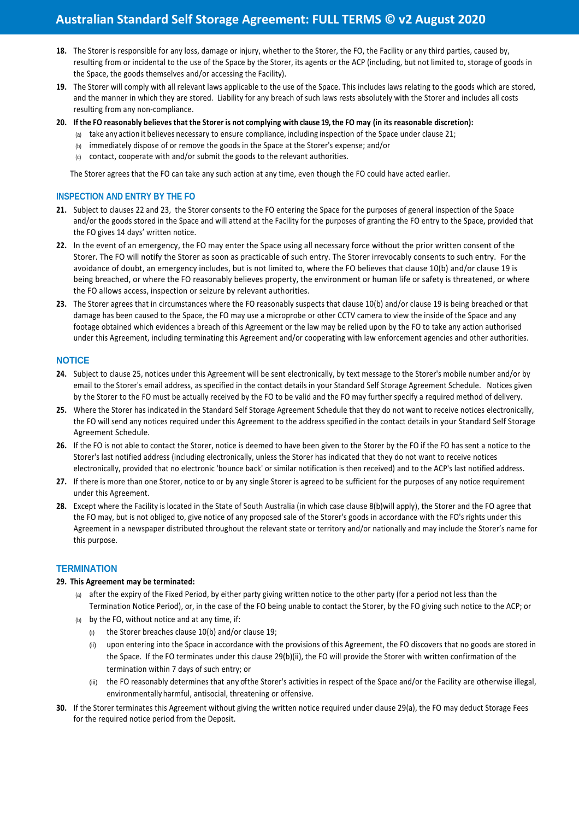- **18.** The Storer is responsible for any loss, damage or injury, whether to the Storer, the FO, the Facility or any third parties, caused by, resulting from or incidental to the use of the Space by the Storer, its agents or the ACP (including, but not limited to, storage of goods in the Space, the goods themselves and/or accessing the Facility).
- 19. The Storer will comply with all relevant laws applicable to the use of the Space. This includes laws relating to the goods which are stored, and the manner in which they are stored. Liability for any breach of such laws rests absolutely with the Storer and includes all costs resulting from any non-compliance.
- **20. If the FO reasonably believes that the Storer is not complying with clause 19, the FO may (in its reasonable discretion):**
	- (a) take any action it believes necessary to ensure compliance, including inspection of the Space under clause 21;
	- (b) immediately dispose of or remove the goods in the Space at the Storer's expense; and/or
	- (c) contact, cooperate with and/or submit the goods to the relevant authorities.

The Storer agrees that the FO can take any such action at any time, even though the FO could have acted earlier.

# **INSPECTION AND ENTRY BY THE FO**

- **21.** Subject to clauses 22 and 23, the Storer consents to the FO entering the Space for the purposes of general inspection of the Space and/or the goods stored in the Space and will attend at the Facility for the purposes of granting the FO entry to the Space, provided that the FO gives 14 days' written notice.
- **22.** In the event of an emergency, the FO may enter the Space using all necessary force without the prior written consent of the Storer. The FO will notify the Storer as soon as practicable of such entry. The Storer irrevocably consents to such entry. For the avoidance of doubt, an emergency includes, but is not limited to, where the FO believes that clause 10(b) and/or clause 19 is being breached, or where the FO reasonably believes property, the environment or human life or safety is threatened, or where the FO allows access, inspection or seizure by relevant authorities.
- **23.** The Storer agrees that in circumstances where the FO reasonably suspects that clause 10(b) and/or clause 19 is being breached or that damage has been caused to the Space, the FO may use a microprobe or other CCTV camera to view the inside of the Space and any footage obtained which evidences a breach of this Agreement or the law may be relied upon by the FO to take any action authorised under this Agreement, including terminating this Agreement and/or cooperating with law enforcement agencies and other authorities.

### **NOTICE**

- **24.** Subject to clause 25, notices under this Agreement will be sent electronically, by text message to the Storer's mobile number and/or by email to the Storer's email address, as specified in the contact details in your Standard Self Storage Agreement Schedule. Notices given by the Storer to the FO must be actually received by the FO to be valid and the FO may further specify a required method of delivery.
- **25.** Where the Storer has indicated in the Standard Self Storage Agreement Schedule that they do not want to receive notices electronically, the FO will send any notices required under this Agreement to the address specified in the contact details in your Standard Self Storage Agreement Schedule.
- **26.** If the FO is not able to contact the Storer, notice is deemed to have been given to the Storer by the FO if the FO has sent a notice to the Storer's last notified address (including electronically, unless the Storer has indicated that they do not want to receive notices electronically, provided that no electronic 'bounce back' or similar notification is then received) and to the ACP's last notified address.
- **27.** If there is more than one Storer, notice to or by any single Storer is agreed to be sufficient for the purposes of any notice requirement under this Agreement.
- **28.** Except where the Facility is located in the State of South Australia (in which case clause 8(b)will apply), the Storer and the FO agree that the FO may, but is not obliged to, give notice of any proposed sale of the Storer's goods in accordance with the FO's rights under this Agreement in a newspaper distributed throughout the relevant state or territory and/or nationally and may include the Storer's name for this purpose.

### **TERMINATION**

### **29. This Agreement may be terminated:**

- (a) after the expiry of the Fixed Period, by either party giving written notice to the other party (for a period not less than the Termination Notice Period), or, in the case of the FO being unable to contact the Storer, by the FO giving such notice to the ACP; or
- (b) by the FO, without notice and at any time, if:
	- (i) the Storer breaches clause 10(b) and/or clause 19;
	- (ii) upon entering into the Space in accordance with the provisions of this Agreement, the FO discovers that no goods are stored in the Space. If the FO terminates under this clause 29(b)(ii), the FO will provide the Storer with written confirmation of the termination within 7 days of such entry; or
	- (iii) the FO reasonably determines that any of the Storer's activities in respect of the Space and/or the Facility are otherwise illegal, environmentally harmful, antisocial, threatening or offensive.
- **30.** If the Storer terminates this Agreement without giving the written notice required under clause 29(a), the FO may deduct Storage Fees for the required notice period from the Deposit.